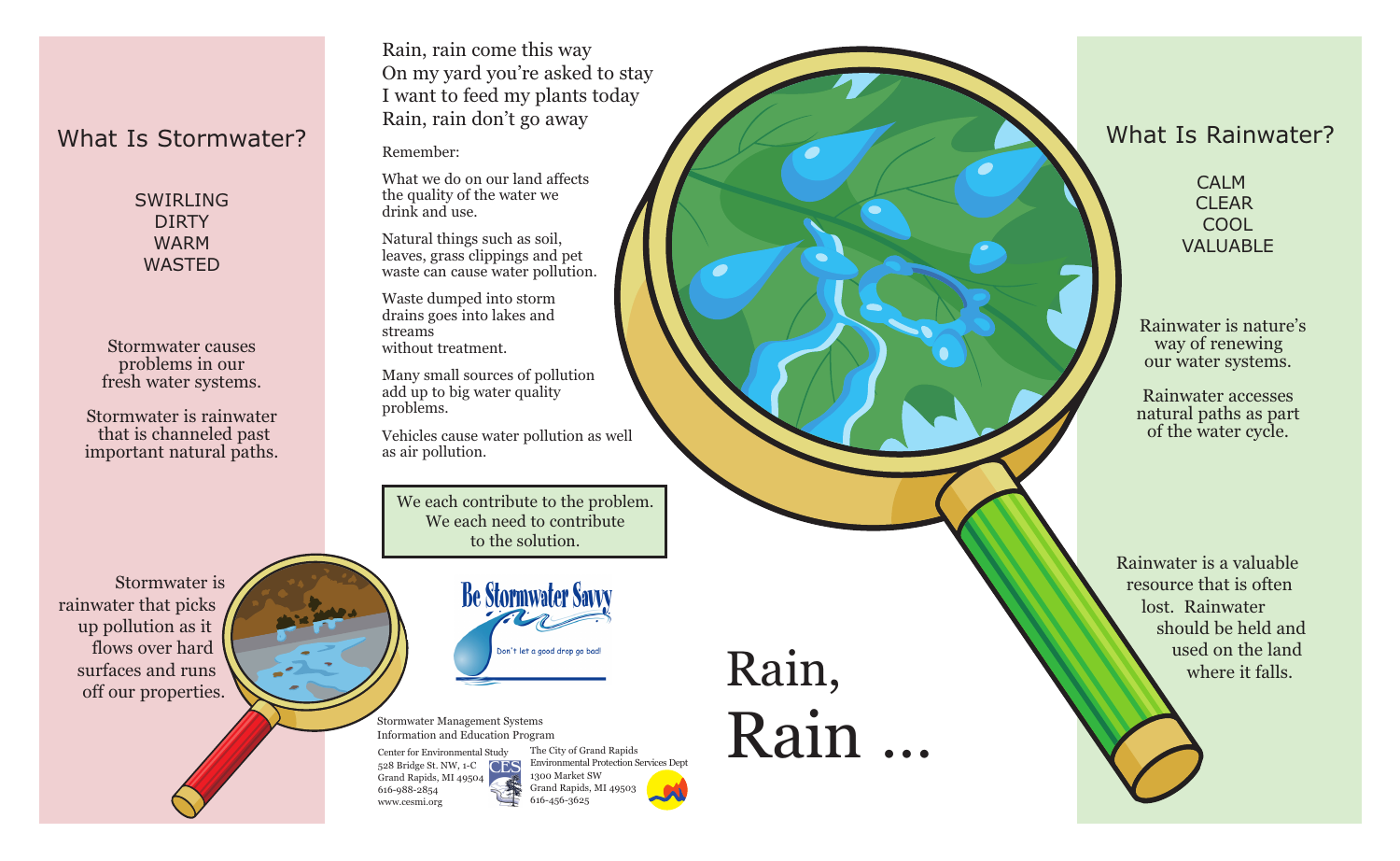# What Is Stormwater?

SWIRI ING DIRTY WARM WASTED

Stormwater causes problems in our fresh water systems.

Stormwater is rainwater that is channeled past important natural paths.

Rain, rain come this way On my yard you're asked to stay I want to feed my plants today Rain, rain don't go away

Remember:

What we do on our land affects the quality of the water we drink and use.

Natural things such as soil, leaves, grass clippings and pet waste can cause water pollution.

Waste dumped into storm drains goes into lakes and streams without treatment.

Many small sources of pollution add up to big water quality problems.

Vehicles cause water pollution as well as air pollution.

We each contribute to the problem. We each need to contribute to the solution.

Stormwater is rainwater that picks up pollution as it flows over hard surfaces and runs flows over hard<br>surfaces and runs<br>off our properties.

**Be Stormwater Savy** 

Information and Education Program

Center for Environmental Study 528 Bridge St. NW, 1-C CFS Grand Rapids, MI 49504 616-988-2854 www.cesmi.org



Stormwater Management Systems<br>Information and Education Program<br>Center for Environmental Study The City of Grand Rapids

# What Is Rainwater?

CALM CLEAR **COOL** VALUABLE

Rainwater is nature's way of renewing our water systems.

Rainwater accesses natural paths as part of the water cycle.

Rainwater is a valuable resource that is often lost. Rainwater should be held and used on the land where it falls.